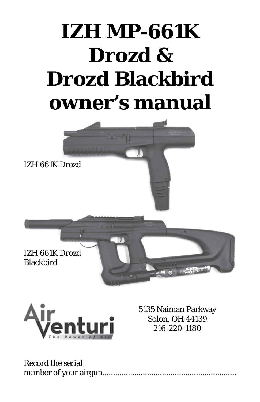# **IZH MP-661K Drozd & Drozd Blackbird owner's manual**





5135 Naiman Parkway Solon, OH 44139 216-220-1180

Record the serial number of your airgun...............................................................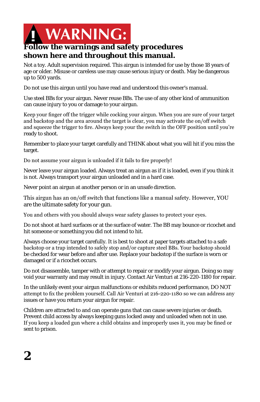

## **Follow the warnings and safety procedures shown here and throughout this manual.**

Not a toy. Adult supervision required. This airgun is intended for use by those 18 years of age or older. Misuse or careless use may cause serious injury or death. May be dangerous up to 500 yards.

Do not use this airgun until you have read and understood this owner's manual.

Use steel BBs for your airgun. Never reuse BBs. The use of any other kind of ammunition can cause injury to you or damage to your airgun.

Keep your finger off the trigger while cocking your airgun. When you are sure of your target and backstop and the area around the target is clear, you may activate the on/off switch and squeeze the trigger to fire. Always keep your the switch in the OFF position until you're ready to shoot.

Remember to place your target carefully and THINK about what you will hit if you miss the target.

Do not assume your airgun is unloaded if it fails to fire properly!

Never leave your airgun loaded. Always treat an airgun as if it is loaded, even if you think it is not. Always transport your airgun unloaded and in a hard case.

Never point an airgun at another person or in an unsafe direction.

This airgun has an on/off switch that functions like a manual safety. However, YOU are the ultimate safety for your gun.

You and others with you should always wear safety glasses to protect your eyes.

Do not shoot at hard surfaces or at the surface of water. The BB may bounce or ricochet and hit someone or something you did not intend to hit.

Always choose your target carefully. It is best to shoot at paper targets attached to a safe backstop or a trap intended to safely stop and/or capture steel BBs. Your backstop should be checked for wear before and after use. Replace your backstop if the surface is worn or damaged or if a ricochet occurs.

Do not disassemble, tamper with or attempt to repair or modify your airgun. Doing so may void your warranty and may result in injury. Contact Air Venturi at 216-220-1180 for repair.

In the unlikely event your airgun malfunctions or exhibits reduced performance, DO NOT attempt to fix the problem yourself. Call Air Venturi at 216-220-1180 so we can address any issues or have you return your airgun for repair.

Children are attracted to and can operate guns that can cause severe injuries or death. Prevent child access by always keeping guns locked away and unloaded when not in use. If you keep a loaded gun where a child obtains and improperly uses it, you may be fined or sent to prison.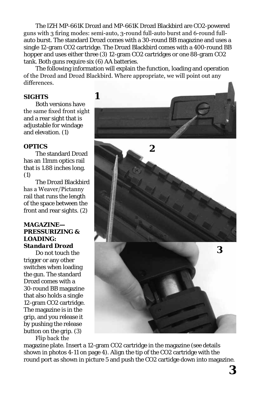The IZH MP-661K Drozd and MP-661K Drozd Blackbird are CO2-powered guns with 3 firing modes: semi-auto, 3-round full-auto burst and 6-round fullauto burst. The standard Drozd comes with a 30-round BB magazine and uses a single 12-gram CO2 cartridge. The Drozd Blackbird comes with a 400-round BB hopper and uses either three (3) 12-gram CO2 cartridges or one 88-gram CO2 tank. Both guns require six (6) AA batteries.

The following information will explain the function, loading and operation of the Drozd and Drozd Blackbird. Where appropriate, we will point out any differences.

#### **SIGHTS**

Both versions have the same fixed front sight and a rear sight that is adjustable for windage and elevation. (1)

#### **OPTICS**

The standard Drozd has an 11mm optics rail that is 1.88 inches long. (1)

The Drozd Blackbird has a Weaver/Pictanny rail that runs the length of the space between the front and rear sights. (2)

#### **MAGAZINE— PRESSURIZING & LOADING:** *Standard Drozd*

Do not touch the trigger or any other switches when loading the gun. The standard Drozd comes with a 30-round BB magazine that also holds a single 12-gram CO2 cartridge. The magazine is in the grip, and you release it by pushing the release button on the grip. (3)

Flip back the

**1 2 3**

magazine plate. Insert a 12-gram CO2 cartridge in the magazine (see details shown in photos 4-11 on page 4). Align the tip of the CO2 cartridge with the round port as shown in picture 5 and push the CO2 cartidge down into magazine.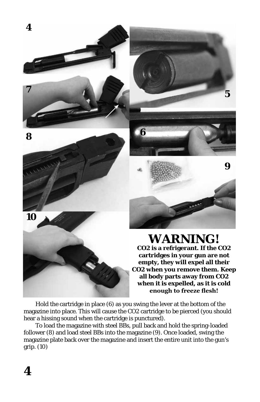





**5**

# **WARNING!**

**CO2 is a refrigerant. If the CO2 cartridges in your gun are not empty, they will expel all their CO2 when you remove them. Keep all body parts away from CO2 when it is expelled, as it is cold enough to freeze flesh!**

Hold the cartridge in place (6) as you swing the lever at the bottom of the magazine into place. This will cause the CO2 cartridge to be pierced (you should hear a hissing sound when the cartridge is punctured).

To load the magazine with steel BBs, pull back and hold the spring-loaded follower (8) and load steel BBs into the magazine (9). Once loaded, swing the magazine plate back over the magazine and insert the entire unit into the gun's grip. (10)

**10**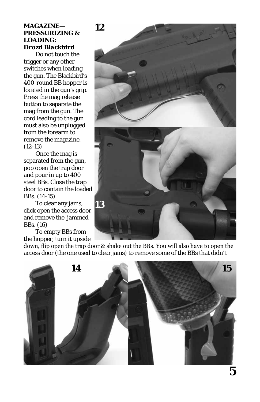#### **MAGAZINE— PRESSURIZING & LOADING:** *Drozd Blackbird*

**12**

Do not touch the trigger or any other switches when loading the gun. The Blackbird's 400-round BB hopper is located in the gun's grip. Press the mag release button to separate the mag from the gun. The cord leading to the gun must also be unplugged from the forearm to remove the magazine. (12-13)

Once the mag is separated from the gun, pop open the trap door and pour in up to 400 steel BBs. Close the trap door to contain the loaded BBs. (14-15)

To clear any jams, click open the access door and remove the jammed BBs. (16)

To empty BBs from the hopper, turn it upside



down, flip open the trap door & shake out the BBs. You will also have to open the access door (the one used to clear jams) to remove some of the BBs that didn't

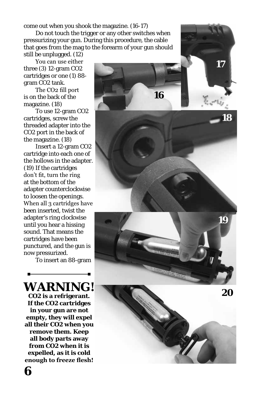come out when you shook the magazine. (16-17)

Do not touch the trigger or any other switches when pressurizing your gun. During this procedure, the cable that goes from the mag to the forearm of your gun should still be unplugged. (12)

You can use either three (3) 12-gram CO2 cartridges or one (1) 88 gram CO2 tank.

The CO2 fill port is on the back of the magazine. (18)

To use 12-gram CO2 cartridges, screw the threaded adapter into the CO2 port in the back of the magazine. (18)

Insert a 12-gram CO2 cartridge into each one of the hollows in the adapter. (19) If the cartridges don't fit, turn the ring at the bottom of the adapter counterclockwise to loosen the openings. When all 3 cartridges have been inserted, twist the adapter's ring clockwise until you hear a hissing sound. That means the cartridges have been punctured, and the gun is now pressurized.

To insert an 88-gram



**17 16**  $\overline{g}_{\alpha} = \mathcal{P} \overline{g}_{\alpha}$ **18 19**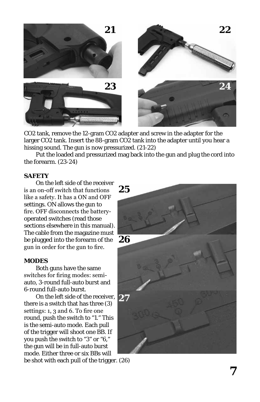

CO2 tank, remove the 12-gram CO2 adapter and screw in the adapter for the larger CO2 tank. Insert the 88-gram CO2 tank into the adapter until you hear a hissing sound. The gun is now pressurized. (21-22)

Put the loaded and pressurized mag back into the gun and plug the cord into the forearm. (23-24)

#### **SAFETY**

On the left side of the receiver is an on-off switch that functions like a safety. It has a ON and OFF settings. ON allows the gun to fire. OFF disconnects the batteryoperated switches (read those sections elsewhere in this manual). The cable from the magazine must be plugged into the forearm of the gun in order for the gun to fire.

#### **MODES**

Both guns have the same switches for firing modes: semiauto, 3-round full-auto burst and 6-round full-auto burst.

On the left side of the receiver, **27** there is a switch that has three (3) settings: 1, 3 and 6. To fire one round, push the switch to "1." This is the semi-auto mode. Each pull of the trigger will shoot one BB. If you push the switch to "3" or "6," the gun will be in full-auto burst mode. Either three or six BBs will

be shot with each pull of the trigger. (26)

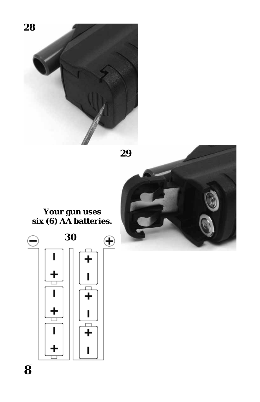



## **Your gun uses six (6) AA batteries.**

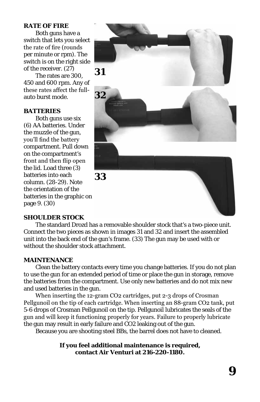#### **RATE OF FIRE**

Both guns have a switch that lets you select the rate of fire (rounds per minute or rpm). The switch is on the right side of the receiver. (27)

The rates are 300, 450 and 600 rpm. Any of these rates affect the fullauto burst mode.

#### **BATTERIES**

Both guns use six (6) AA batteries. Under the muzzle of the gun, you'll find the battery compartment. Pull down on the compartment's front and then flip open the lid. Load three (3) batteries into each column. (28-29). Note the orientation of the batteries in the graphic on page 9. (30)



**33**

#### **SHOULDER STOCK**

The standard Drozd has a removable shoulder stock that's a two-piece unit. Connect the two pieces as shown in images 31 and 32 and insert the assembled unit into the back end of the gun's frame. (33) The gun may be used with or without the shoulder stock attachment.

#### **MAINTENANCE**

Clean the battery contacts every time you change batteries. If you do not plan to use the gun for an extended period of time or place the gun in storage, remove the batteries from the compartment. Use only new batteries and do not mix new and used batteries in the gun.

When inserting the 12-gram CO2 cartridges, put 2-3 drops of Crosman Pellgunoil on the tip of each cartridge. When inserting an 88-gram CO2 tank, put 5-6 drops of Crosman Pellgunoil on the tip. Pellgunoil lubricates the seals of the gun and will keep it functioning properly for years. Failure to properly lubricate the gun may result in early failure and CO2 leaking out of the gun.

Because you are shooting steel BBs, the barrel does not have to cleaned.

**If you feel additional maintenance is required, contact Air Venturi at 216-220-1180.**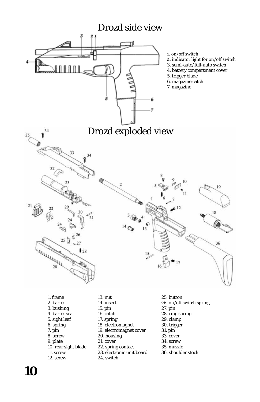

- 2. barrel 3. bushing 4. barrel seal 5. sight leaf 6. spring 7. pin
- 8. screw
- 9. plate
- 10. rear sight blade
- 11. screw

**10**

12. screw

- 14. insert 15. pin
- 16. catch
- 
- 17. spring
- 18. electromagnet
- 19. electromagnet cover
- 20. housing
- 21. cover
- 22. spring contact
- 23. electronic unit board
- 24. switch
- 26. on/off switch spring
- 27. pin
- 28. ring spring
- 29. clamp
- 30. trigger
- 31. pin
- 33. cover
- 34. screw
- 35. muzzle
- 36. shoulder stock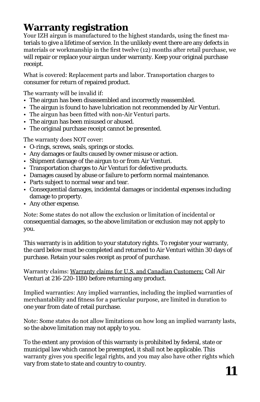# **Warranty registration**

Your IZH airgun is manufactured to the highest standards, using the finest materials to give a lifetime of service. In the unlikely event there are any defects in materials or workmanship in the first twelve (12) months after retail purchase, we will repair or replace your airgun under warranty. Keep your original purchase receipt.

What is covered: Replacement parts and labor. Transportation charges to consumer for return of repaired product.

The warranty will be invalid if:

- The airgun has been disassembled and incorrectly reassembled.
- The airgun is found to have lubrication not recommended by Air Venturi.
- The airgun has been fitted with non-Air Venturi parts.
- The airgun has been misused or abused.
- The original purchase receipt cannot be presented.

The warranty does NOT cover:

- O-rings, screws, seals, springs or stocks.
- Any damages or faults caused by owner misuse or action.
- Shipment damage of the airgun to or from Air Venturi.
- Transportation charges to Air Venturi for defective products.
- Damages caused by abuse or failure to perform normal maintenance.
- Parts subject to normal wear and tear.
- Consequential damages, incidental damages or incidental expenses including damage to property.
- Any other expense.

Note: Some states do not allow the exclusion or limitation of incidental or consequential damages, so the above limitation or exclusion may not apply to you.

This warranty is in addition to your statutory rights. To register your warranty, the card below must be completed and returned to Air Venturi within 30 days of purchase. Retain your sales receipt as proof of purchase.

Warranty claims: Warranty claims for U.S. and Canadian Customers: Call Air Venturi at 216-220-1180 before returning any product.

Implied warranties: Any implied warranties, including the implied warranties of merchantability and fitness for a particular purpose, are limited in duration to one year from date of retail purchase.

Note: Some states do not allow limitations on how long an implied warranty lasts, so the above limitation may not apply to you.

To the extent any provision of this warranty is prohibited by federal, state or municipal law which cannot be preempted, it shall not be applicable. This warranty gives you specific legal rights, and you may also have other rights which vary from state to state and country to country.